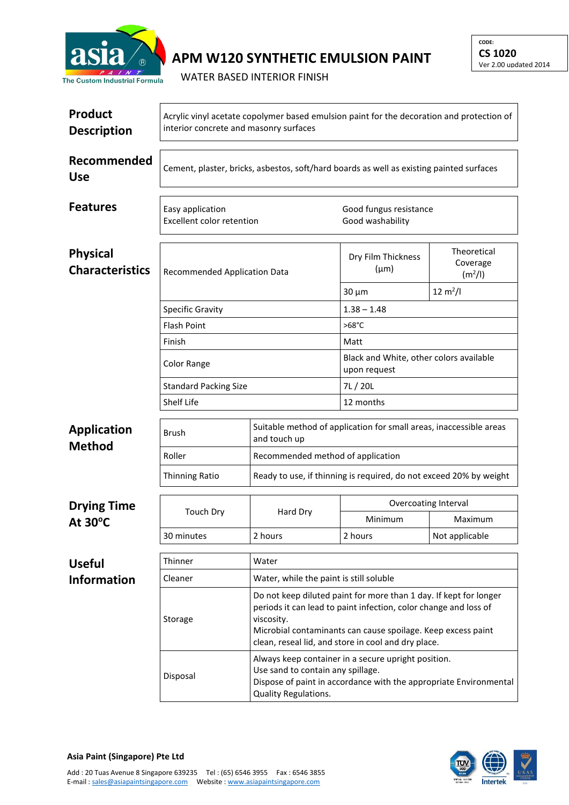

## **APM W120 SYNTHETIC EMULSION PAINT**

WATER BASED INTERIOR FINISH

| <b>Product</b><br><b>Description</b>      | Acrylic vinyl acetate copolymer based emulsion paint for the decoration and protection of<br>interior concrete and masonry surfaces |                                                                                    |                                                                                                                                                                                                                                                                                                                                                                                                                                                                          |                                                |  |  |
|-------------------------------------------|-------------------------------------------------------------------------------------------------------------------------------------|------------------------------------------------------------------------------------|--------------------------------------------------------------------------------------------------------------------------------------------------------------------------------------------------------------------------------------------------------------------------------------------------------------------------------------------------------------------------------------------------------------------------------------------------------------------------|------------------------------------------------|--|--|
| Recommended<br><b>Use</b>                 | Cement, plaster, bricks, asbestos, soft/hard boards as well as existing painted surfaces                                            |                                                                                    |                                                                                                                                                                                                                                                                                                                                                                                                                                                                          |                                                |  |  |
| <b>Features</b>                           | Easy application<br>Excellent color retention                                                                                       |                                                                                    | Good fungus resistance<br>Good washability                                                                                                                                                                                                                                                                                                                                                                                                                               |                                                |  |  |
| <b>Physical</b><br><b>Characteristics</b> | <b>Recommended Application Data</b>                                                                                                 |                                                                                    | Dry Film Thickness<br>$(\mu m)$                                                                                                                                                                                                                                                                                                                                                                                                                                          | Theoretical<br>Coverage<br>(m <sup>2</sup> /I) |  |  |
|                                           |                                                                                                                                     |                                                                                    | $30 \mu m$                                                                                                                                                                                                                                                                                                                                                                                                                                                               | $12 \text{ m}^2$ /l                            |  |  |
|                                           | <b>Specific Gravity</b>                                                                                                             |                                                                                    | $1.38 - 1.48$                                                                                                                                                                                                                                                                                                                                                                                                                                                            |                                                |  |  |
|                                           | <b>Flash Point</b>                                                                                                                  |                                                                                    | $>68^{\circ}$ C                                                                                                                                                                                                                                                                                                                                                                                                                                                          |                                                |  |  |
|                                           | Finish                                                                                                                              |                                                                                    | Matt                                                                                                                                                                                                                                                                                                                                                                                                                                                                     |                                                |  |  |
|                                           | <b>Color Range</b>                                                                                                                  |                                                                                    | Black and White, other colors available<br>upon request                                                                                                                                                                                                                                                                                                                                                                                                                  |                                                |  |  |
|                                           | <b>Standard Packing Size</b>                                                                                                        |                                                                                    | 7L / 20L                                                                                                                                                                                                                                                                                                                                                                                                                                                                 |                                                |  |  |
|                                           | Shelf Life                                                                                                                          |                                                                                    | 12 months                                                                                                                                                                                                                                                                                                                                                                                                                                                                |                                                |  |  |
| <b>Application</b><br><b>Method</b>       | <b>Brush</b>                                                                                                                        | Suitable method of application for small areas, inaccessible areas<br>and touch up |                                                                                                                                                                                                                                                                                                                                                                                                                                                                          |                                                |  |  |
|                                           | Roller                                                                                                                              | Recommended method of application                                                  |                                                                                                                                                                                                                                                                                                                                                                                                                                                                          |                                                |  |  |
|                                           | Thinning Ratio                                                                                                                      | Ready to use, if thinning is required, do not exceed 20% by weight                 |                                                                                                                                                                                                                                                                                                                                                                                                                                                                          |                                                |  |  |
| <b>Drying Time</b><br>At $30^{\circ}$ C   | <b>Touch Dry</b>                                                                                                                    | Hard Dry                                                                           | Overcoating Interval                                                                                                                                                                                                                                                                                                                                                                                                                                                     |                                                |  |  |
|                                           |                                                                                                                                     |                                                                                    | Minimum                                                                                                                                                                                                                                                                                                                                                                                                                                                                  | Maximum                                        |  |  |
|                                           | 30 minutes                                                                                                                          | 2 hours                                                                            | 2 hours                                                                                                                                                                                                                                                                                                                                                                                                                                                                  | Not applicable                                 |  |  |
| <b>Useful</b>                             | Thinner                                                                                                                             | Water                                                                              |                                                                                                                                                                                                                                                                                                                                                                                                                                                                          |                                                |  |  |
| <b>Information</b>                        | Cleaner                                                                                                                             |                                                                                    | Water, while the paint is still soluble<br>Do not keep diluted paint for more than 1 day. If kept for longer<br>periods it can lead to paint infection, color change and loss of<br>Microbial contaminants can cause spoilage. Keep excess paint<br>clean, reseal lid, and store in cool and dry place.<br>Always keep container in a secure upright position.<br>Use sand to contain any spillage.<br>Dispose of paint in accordance with the appropriate Environmental |                                                |  |  |
|                                           | Storage                                                                                                                             | viscosity.                                                                         |                                                                                                                                                                                                                                                                                                                                                                                                                                                                          |                                                |  |  |
|                                           | Disposal                                                                                                                            | Quality Regulations.                                                               |                                                                                                                                                                                                                                                                                                                                                                                                                                                                          |                                                |  |  |